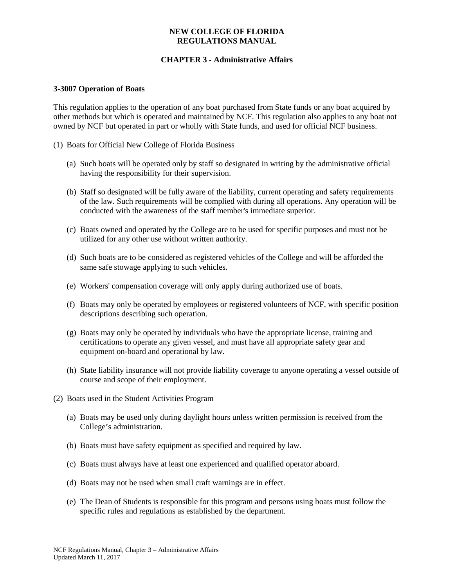### **NEW COLLEGE OF FLORIDA REGULATIONS MANUAL**

# **CHAPTER 3 - Administrative Affairs**

#### **3-3007 Operation of Boats**

This regulation applies to the operation of any boat purchased from State funds or any boat acquired by other methods but which is operated and maintained by NCF. This regulation also applies to any boat not owned by NCF but operated in part or wholly with State funds, and used for official NCF business.

- (1) Boats for Official New College of Florida Business
	- (a) Such boats will be operated only by staff so designated in writing by the administrative official having the responsibility for their supervision.
	- (b) Staff so designated will be fully aware of the liability, current operating and safety requirements of the law. Such requirements will be complied with during all operations. Any operation will be conducted with the awareness of the staff member's immediate superior.
	- (c) Boats owned and operated by the College are to be used for specific purposes and must not be utilized for any other use without written authority.
	- (d) Such boats are to be considered as registered vehicles of the College and will be afforded the same safe stowage applying to such vehicles.
	- (e) Workers' compensation coverage will only apply during authorized use of boats.
	- (f) Boats may only be operated by employees or registered volunteers of NCF, with specific position descriptions describing such operation.
	- (g) Boats may only be operated by individuals who have the appropriate license, training and certifications to operate any given vessel, and must have all appropriate safety gear and equipment on-board and operational by law.
	- (h) State liability insurance will not provide liability coverage to anyone operating a vessel outside of course and scope of their employment.
- (2) Boats used in the Student Activities Program
	- (a) Boats may be used only during daylight hours unless written permission is received from the College's administration.
	- (b) Boats must have safety equipment as specified and required by law.
	- (c) Boats must always have at least one experienced and qualified operator aboard.
	- (d) Boats may not be used when small craft warnings are in effect.
	- (e) The Dean of Students is responsible for this program and persons using boats must follow the specific rules and regulations as established by the department.